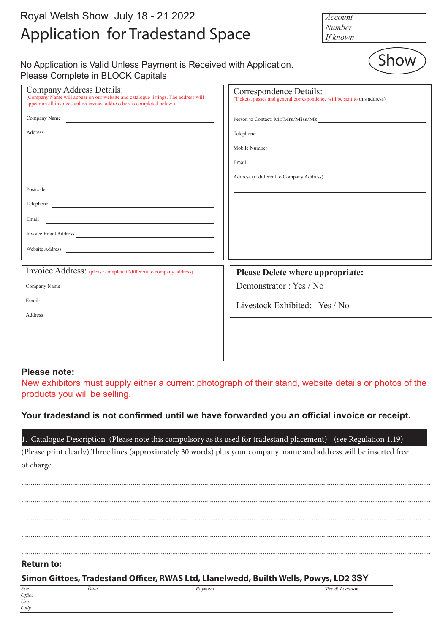| Royal Welsh Show July 18 - 21 2022<br><b>Application for Tradestand Space</b>                                                                                                                                                                                                                                                                                                                                                                                                                                       | Account<br>Number<br>If known                                                                                                                                                                                                                                                                                   |
|---------------------------------------------------------------------------------------------------------------------------------------------------------------------------------------------------------------------------------------------------------------------------------------------------------------------------------------------------------------------------------------------------------------------------------------------------------------------------------------------------------------------|-----------------------------------------------------------------------------------------------------------------------------------------------------------------------------------------------------------------------------------------------------------------------------------------------------------------|
| No Application is Valid Unless Payment is Received with Application.<br>Please Complete in BLOCK Capitals                                                                                                                                                                                                                                                                                                                                                                                                           | Show                                                                                                                                                                                                                                                                                                            |
| <b>Company Address Details:</b><br>(Company Name will appear on our website and catalogue listings. The address will<br>appear on all invoices unless invoice address box is completed below.)                                                                                                                                                                                                                                                                                                                      | Correspondence Details:<br>(Tickets, passes and general correspondence will be sent to this address)                                                                                                                                                                                                            |
| Company Name<br>Address<br><u> 1989 - Johann Barbara, martxa alemaniar amerikan basar da da a shekara a shekara a shekara a shekara a shekar</u><br>Email<br><u> 1989 - Johann Stein, marwolaethau a bhann an t-Amhair ann an t-Amhair an t-Amhair an t-Amhair an t-Amhair an</u><br>Website Address 2008 and 2008 and 2008 and 2008 and 2008 and 2008 and 2008 and 2008 and 2008 and 2008 and 2008 and 2008 and 2008 and 2008 and 2008 and 2008 and 2008 and 2008 and 2008 and 2008 and 2008 and 2008 and 2008 and | Person to Contact: Mr/Mrs/Miss/Ms<br>Address (if different to Company Address)<br>the control of the control of the control of the control of the control of the control of the control of the control of the control of the control of the control of the control of the control of the control of the control |
| Invoice Address: (please complete if different to company address)<br>Company Name<br>Address and the contract of the contract of the contract of the contract of the contract of the contract of the contract of the contract of the contract of the contract of the contract of the contract of the contract of th                                                                                                                                                                                                | <b>Please Delete where appropriate:</b><br>Demonstrator: Yes / No<br>Livestock Exhibited: Yes / No                                                                                                                                                                                                              |

#### **Please note:**

New exhibitors must supply either a current photograph of their stand, website details or photos of the products you will be selling.

# Your tradestand is not confirmed until we have forwarded you an official invoice or receipt.

1. Catalogue Description (Please note this compulsory as its used for tradestand placement) - (see Regulation 1.19) (Please print clearly) Three lines (approximately 30 words) plus your company name and address will be inserted free of charge.

......................................................................................................................................................................................................................... ......................................................................................................................................................................................................................... ......................................................................................................................................................................................................................... ......................................................................................................................................................................................................................... .........................................................................................................................................................................................................................

#### **Return to:**

### **Simon Gittoes, Tradestand Officer, RWAS Ltd, Llanelwedd, Builth Wells, Powys, LD2 3SY**

| For             | Date | Payment | Size & Location |
|-----------------|------|---------|-----------------|
|                 |      |         |                 |
| $Office$<br>Use |      |         |                 |
| Only            |      |         |                 |
|                 |      |         |                 |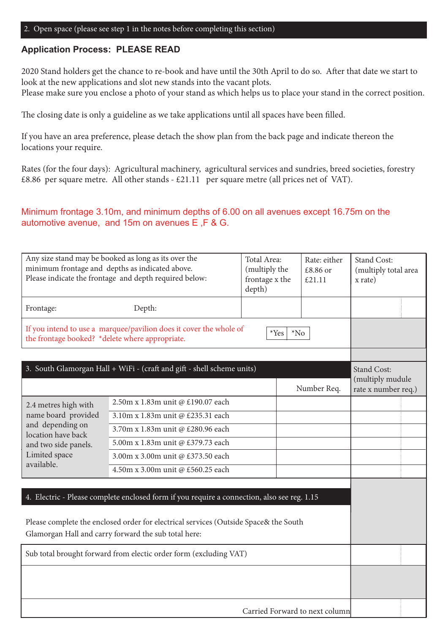### **Application Process: PLEASE READ**

2020 Stand holders get the chance to re-book and have until the 30th April to do so. After that date we start to look at the new applications and slot new stands into the vacant plots.

Please make sure you enclose a photo of your stand as which helps us to place your stand in the correct position.

The closing date is only a guideline as we take applications until all spaces have been filled.

If you have an area preference, please detach the show plan from the back page and indicate thereon the locations your require.

Rates (for the four days): Agricultural machinery, agricultural services and sundries, breed societies, forestry £8.86 per square metre. All other stands - £21.11 per square metre (all prices net of VAT).

# Minimum frontage 3.10m, and minimum depths of 6.00 on all avenues except 16.75m on the automotive avenue, and 15m on avenues E ,F & G.

|                                                                                                                                         | Any size stand may be booked as long as its over the<br>minimum frontage and depths as indicated above.<br>Please indicate the frontage and depth required below:                                                                           | Total Area:<br>(multiply the<br>frontage x the<br>depth) | Rate: either<br>£8.86 or<br>£21.11 | <b>Stand Cost:</b><br>(multiply total area<br>x rate) |
|-----------------------------------------------------------------------------------------------------------------------------------------|---------------------------------------------------------------------------------------------------------------------------------------------------------------------------------------------------------------------------------------------|----------------------------------------------------------|------------------------------------|-------------------------------------------------------|
| Frontage:                                                                                                                               | Depth:                                                                                                                                                                                                                                      |                                                          |                                    |                                                       |
| If you intend to use a marquee/pavilion does it cover the whole of<br>*Yes<br>$*$ No<br>the frontage booked? *delete where appropriate. |                                                                                                                                                                                                                                             |                                                          |                                    |                                                       |
|                                                                                                                                         |                                                                                                                                                                                                                                             |                                                          |                                    |                                                       |
|                                                                                                                                         | 3. South Glamorgan Hall + WiFi - (craft and gift - shell scheme units)                                                                                                                                                                      |                                                          |                                    | <b>Stand Cost:</b><br>(multiply mudule                |
|                                                                                                                                         |                                                                                                                                                                                                                                             |                                                          | Number Req.                        | rate x number req.)                                   |
| 2.4 metres high with                                                                                                                    | 2.50m x 1.83m unit @ £190.07 each                                                                                                                                                                                                           |                                                          |                                    |                                                       |
| name board provided                                                                                                                     | 3.10m x 1.83m unit @ £235.31 each                                                                                                                                                                                                           |                                                          |                                    |                                                       |
| and depending on<br>location have back                                                                                                  | 3.70m x 1.83m unit @ £280.96 each                                                                                                                                                                                                           |                                                          |                                    |                                                       |
| and two side panels.                                                                                                                    | 5.00m x 1.83m unit @ £379.73 each                                                                                                                                                                                                           |                                                          |                                    |                                                       |
| Limited space                                                                                                                           | 3.00m x 3.00m unit @ £373.50 each                                                                                                                                                                                                           |                                                          |                                    |                                                       |
| available.                                                                                                                              | 4.50m x 3.00m unit @ £560.25 each                                                                                                                                                                                                           |                                                          |                                    |                                                       |
|                                                                                                                                         | 4. Electric - Please complete enclosed form if you require a connection, also see reg. 1.15<br>Please complete the enclosed order for electrical services (Outside Space& the South<br>Glamorgan Hall and carry forward the sub total here: |                                                          |                                    |                                                       |
| Sub total brought forward from electic order form (excluding VAT)                                                                       |                                                                                                                                                                                                                                             |                                                          |                                    |                                                       |
|                                                                                                                                         |                                                                                                                                                                                                                                             |                                                          |                                    |                                                       |
|                                                                                                                                         |                                                                                                                                                                                                                                             | Carried Forward to next column                           |                                    |                                                       |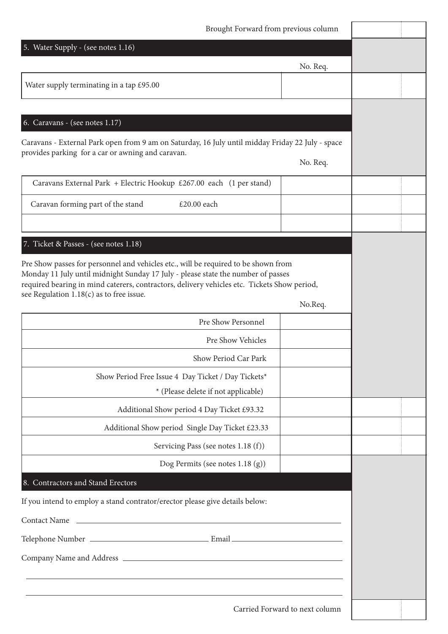| Brought Forward from previous column                                                                                                                                                                                                                                                                                |                                |  |
|---------------------------------------------------------------------------------------------------------------------------------------------------------------------------------------------------------------------------------------------------------------------------------------------------------------------|--------------------------------|--|
| 5. Water Supply - (see notes 1.16)                                                                                                                                                                                                                                                                                  |                                |  |
|                                                                                                                                                                                                                                                                                                                     | No. Req.                       |  |
| Water supply terminating in a tap £95.00                                                                                                                                                                                                                                                                            |                                |  |
|                                                                                                                                                                                                                                                                                                                     |                                |  |
| 6. Caravans - (see notes 1.17)                                                                                                                                                                                                                                                                                      |                                |  |
| Caravans - External Park open from 9 am on Saturday, 16 July until midday Friday 22 July - space<br>provides parking for a car or awning and caravan.                                                                                                                                                               | No. Req.                       |  |
| Caravans External Park + Electric Hookup £267.00 each (1 per stand)                                                                                                                                                                                                                                                 |                                |  |
| Caravan forming part of the stand<br>£20.00 each                                                                                                                                                                                                                                                                    |                                |  |
|                                                                                                                                                                                                                                                                                                                     |                                |  |
| 7. Ticket & Passes - (see notes 1.18)                                                                                                                                                                                                                                                                               |                                |  |
| Pre Show passes for personnel and vehicles etc., will be required to be shown from<br>Monday 11 July until midnight Sunday 17 July - please state the number of passes<br>required bearing in mind caterers, contractors, delivery vehicles etc. Tickets Show period,<br>see Regulation $1.18(c)$ as to free issue. | No.Req.                        |  |
| Pre Show Personnel                                                                                                                                                                                                                                                                                                  |                                |  |
| Pre Show Vehicles                                                                                                                                                                                                                                                                                                   |                                |  |
| Show Period Car Park                                                                                                                                                                                                                                                                                                |                                |  |
| Show Period Free Issue 4 Day Ticket / Day Tickets*                                                                                                                                                                                                                                                                  |                                |  |
| * (Please delete if not applicable)                                                                                                                                                                                                                                                                                 |                                |  |
| Additional Show period 4 Day Ticket £93.32                                                                                                                                                                                                                                                                          |                                |  |
| Additional Show period Single Day Ticket £23.33                                                                                                                                                                                                                                                                     |                                |  |
| Servicing Pass (see notes 1.18 (f))                                                                                                                                                                                                                                                                                 |                                |  |
| Dog Permits (see notes 1.18 (g))                                                                                                                                                                                                                                                                                    |                                |  |
| 8. Contractors and Stand Erectors                                                                                                                                                                                                                                                                                   |                                |  |
| If you intend to employ a stand contrator/erector please give details below:                                                                                                                                                                                                                                        |                                |  |
| <u> 1989 - Johann Barbara, martin amerikan basar dan berasal dan berasal dalam basar dalam basar dalam basar dala</u><br><b>Contact Name</b>                                                                                                                                                                        |                                |  |
|                                                                                                                                                                                                                                                                                                                     |                                |  |
|                                                                                                                                                                                                                                                                                                                     |                                |  |
|                                                                                                                                                                                                                                                                                                                     |                                |  |
|                                                                                                                                                                                                                                                                                                                     | Carried Forward to next column |  |